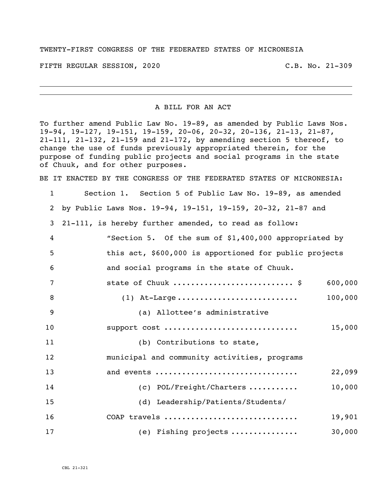## TWENTY-FIRST CONGRESS OF THE FEDERATED STATES OF MICRONESIA

FIFTH REGULAR SESSION, 2020 C.B. No. 21-309

## A BILL FOR AN ACT

To further amend Public Law No. 19-89, as amended by Public Laws Nos. 19-94, 19-127, 19-151, 19-159, 20-06, 20-32, 20-136, 21-13, 21-87, 21-111, 21-132, 21-159 and 21-172, by amending section 5 thereof, to change the use of funds previously appropriated therein, for the purpose of funding public projects and social programs in the state of Chuuk, and for other purposes.

BE IT ENACTED BY THE CONGRESS OF THE FEDERATED STATES OF MICRONESIA:

| $\mathbf{1}$   | Section 1. Section 5 of Public Law No. 19-89, as amended    |
|----------------|-------------------------------------------------------------|
| $\overline{2}$ | by Public Laws Nos. 19-94, 19-151, 19-159, 20-32, 21-87 and |
| 3              | 21-111, is hereby further amended, to read as follow:       |
| $\overline{4}$ | "Section 5. Of the sum of \$1,400,000 appropriated by       |
| 5              | this act, \$600,000 is apportioned for public projects      |
| 6              | and social programs in the state of Chuuk.                  |
| 7              | state of Chuuk  \$<br>600,000                               |
| 8              | 100,000                                                     |
| 9              | (a) Allottee's administrative                               |
| 10             | support cost<br>15,000                                      |
| 11             | (b) Contributions to state,                                 |
| 12             | municipal and community activities, programs                |
| 13             | and events<br>22,099                                        |
| 14             | 10,000<br>(c) POL/Freight/Charters                          |
| 15             | (d) Leadership/Patients/Students/                           |
| 16             | COAP travels<br>19,901                                      |
| 17             | 30,000<br>(e) Fishing projects                              |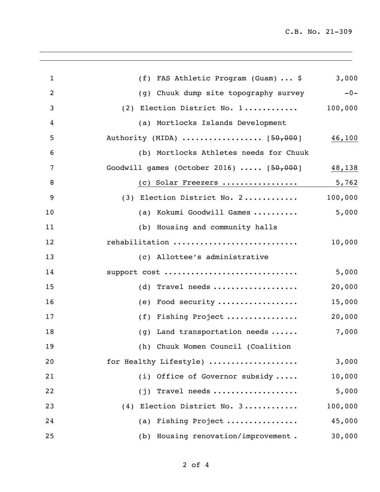| $\mathbf{1}$   | (f) FAS Athletic Program (Guam)  \$      | 3,000   |
|----------------|------------------------------------------|---------|
| $\overline{2}$ | (g) Chuuk dump site topography survey    | $-0-$   |
| 3              | (2) Election District No. 1              | 100,000 |
| 4              | (a) Mortlocks Islands Development        |         |
| 5              | Authority (MIDA)  [50,000]               | 46,100  |
| 6              | (b) Mortlocks Athletes needs for Chuuk   |         |
| 7              | Goodwill games (October 2016) $[50,000]$ | 48,138  |
| 8              | (c) Solar Freezers                       | 5,762   |
| 9              | (3) Election District No. 2              | 100,000 |
| 10             | (a) Kokumi Goodwill Games                | 5,000   |
| 11             | (b) Housing and community halls          |         |
| 12             | rehabilitation                           | 10,000  |
| 13             | (c) Allottee's administrative            |         |
| 14             | support cost                             | 5,000   |
| 15             | $(d)$ Travel needs                       | 20,000  |
| 16             | (e) Food security                        | 15,000  |
| 17             | (f) Fishing Project                      | 20,000  |
| 18             | Land transportation needs<br>(g)         | 7,000   |
| 19             | (h) Chuuk Women Council (Coalition       |         |
| 20             | for Healthy Lifestyle)                   | 3,000   |
| 21             | (i) Office of Governor subsidy           | 10,000  |
| 22             | (j) Travel needs                         | 5,000   |
| 23             | (4) Election District No. 3              | 100,000 |
| 24             | (a) Fishing Project                      | 45,000  |
| 25             | (b) Housing renovation/improvement.      | 30,000  |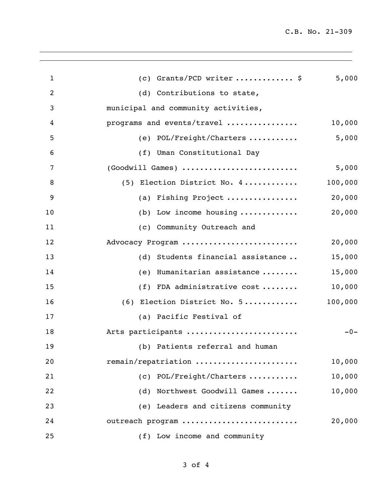| $\mathbf{1}$   | (c) Grants/PCD writer  \$                     | 5,000   |
|----------------|-----------------------------------------------|---------|
| $\overline{2}$ | (d) Contributions to state,                   |         |
| 3              | municipal and community activities,           |         |
| 4              | programs and events/travel                    | 10,000  |
| 5              | (e) $POL/Freight/Charters$                    | 5,000   |
| 6              | (f) Uman Constitutional Day                   |         |
| 7              | (Goodwill Games)                              | 5,000   |
| 8              | (5) Election District No. 4                   | 100,000 |
| 9              | (a) Fishing Project                           | 20,000  |
| 10             | (b) Low income housing $\dots\dots\dots\dots$ | 20,000  |
| 11             | (c) Community Outreach and                    |         |
| 12             | Advocacy Program                              | 20,000  |
| 13             | (d) Students financial assistance             | 15,000  |
| 14             | Humanitarian assistance<br>(e)                | 15,000  |
| 15             | (f) FDA administrative cost                   | 10,000  |
| 16             | $(6)$ Election District No. 5                 | 100,000 |
| 17             | (a) Pacific Festival of                       |         |
| 18             | Arts participants                             | $-0-$   |
| 19             | (b) Patients referral and human               |         |
| 20             | remain/repatriation                           | 10,000  |
| 21             | (c) POL/Freight/Charters                      | 10,000  |
| 22             | (d) Northwest Goodwill Games                  | 10,000  |
| 23             | (e) Leaders and citizens community            |         |
| 24             | outreach program                              | 20,000  |
| 25             | (f) Low income and community                  |         |